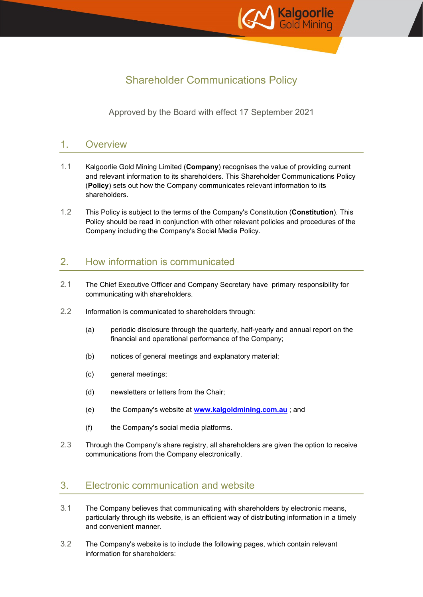

# Shareholder Communications Policy

Approved by the Board with effect 17 September 2021

## 1. Overview

- 1.1 Kalgoorlie Gold Mining Limited (**Company**) recognises the value of providing current and relevant information to its shareholders. This Shareholder Communications Policy (**Policy**) sets out how the Company communicates relevant information to its shareholders.
- 1.2 This Policy is subject to the terms of the Company's Constitution (**Constitution**). This Policy should be read in conjunction with other relevant policies and procedures of the Company including the Company's Social Media Policy.

## 2. How information is communicated

- 2.1 The Chief Executive Officer and Company Secretary have primary responsibility for communicating with shareholders.
- 2.2 Information is communicated to shareholders through:
	- (a) periodic disclosure through the quarterly, half-yearly and annual report on the financial and operational performance of the Company;
	- (b) notices of general meetings and explanatory material;
	- (c) general meetings;
	- (d) newsletters or letters from the Chair;
	- (e) the Company's website at **[www.kalgoldmining.com.au](http://www.kalgoldmining.com.au/)** ; and
	- (f) the Company's social media platforms.
- 2.3 Through the Company's share registry, all shareholders are given the option to receive communications from the Company electronically.

## 3. Electronic communication and website

- 3.1 The Company believes that communicating with shareholders by electronic means, particularly through its website, is an efficient way of distributing information in a timely and convenient manner.
- 3.2 The Company's website is to include the following pages, which contain relevant information for shareholders: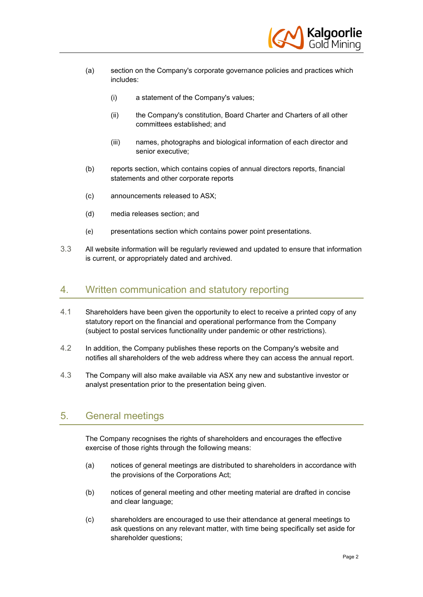

- (a) section on the Company's corporate governance policies and practices which includes:
	- (i) a statement of the Company's values;
	- (ii) the Company's constitution, Board Charter and Charters of all other committees established; and
	- (iii) names, photographs and biological information of each director and senior executive;
- (b) reports section, which contains copies of annual directors reports, financial statements and other corporate reports
- (c) announcements released to ASX;
- (d) media releases section; and
- (e) presentations section which contains power point presentations.
- 3.3 All website information will be regularly reviewed and updated to ensure that information is current, or appropriately dated and archived.

#### 4. Written communication and statutory reporting

- 4.1 Shareholders have been given the opportunity to elect to receive a printed copy of any statutory report on the financial and operational performance from the Company (subject to postal services functionality under pandemic or other restrictions).
- 4.2 In addition, the Company publishes these reports on the Company's website and notifies all shareholders of the web address where they can access the annual report.
- 4.3 The Company will also make available via ASX any new and substantive investor or analyst presentation prior to the presentation being given.

### 5. General meetings

The Company recognises the rights of shareholders and encourages the effective exercise of those rights through the following means:

- (a) notices of general meetings are distributed to shareholders in accordance with the provisions of the Corporations Act;
- (b) notices of general meeting and other meeting material are drafted in concise and clear language;
- (c) shareholders are encouraged to use their attendance at general meetings to ask questions on any relevant matter, with time being specifically set aside for shareholder questions;